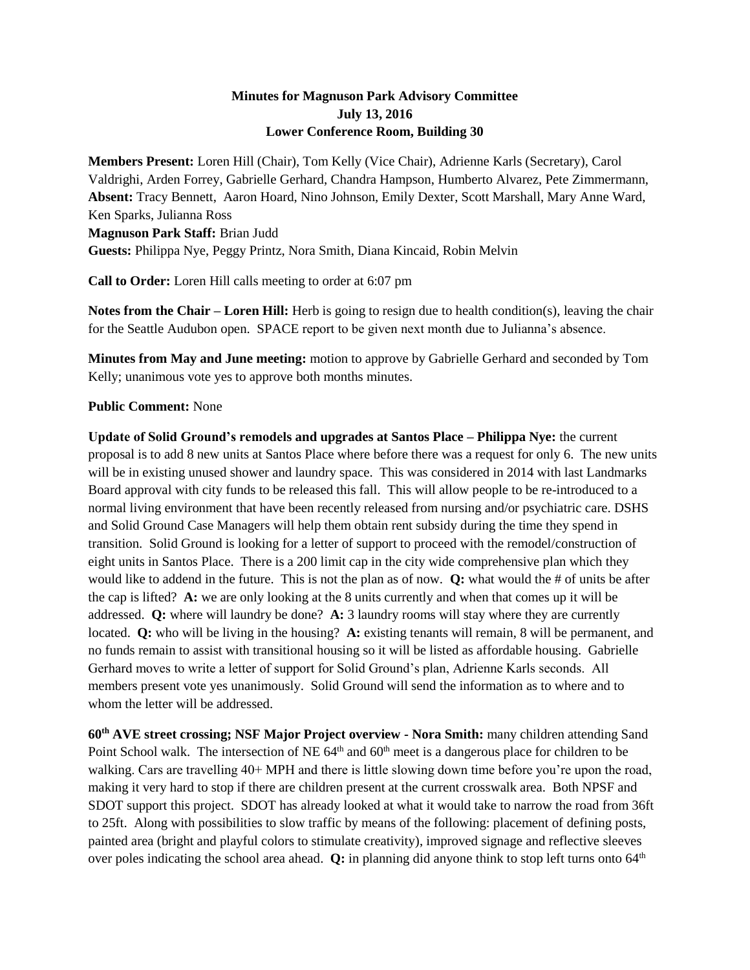## **Minutes for Magnuson Park Advisory Committee July 13, 2016 Lower Conference Room, Building 30**

**Members Present:** Loren Hill (Chair), Tom Kelly (Vice Chair), Adrienne Karls (Secretary), Carol Valdrighi, Arden Forrey, Gabrielle Gerhard, Chandra Hampson, Humberto Alvarez, Pete Zimmermann, **Absent:** Tracy Bennett, Aaron Hoard, Nino Johnson, Emily Dexter, Scott Marshall, Mary Anne Ward, Ken Sparks, Julianna Ross **Magnuson Park Staff:** Brian Judd **Guests:** Philippa Nye, Peggy Printz, Nora Smith, Diana Kincaid, Robin Melvin

**Call to Order:** Loren Hill calls meeting to order at 6:07 pm

**Notes from the Chair – Loren Hill:** Herb is going to resign due to health condition(s), leaving the chair for the Seattle Audubon open. SPACE report to be given next month due to Julianna's absence.

**Minutes from May and June meeting:** motion to approve by Gabrielle Gerhard and seconded by Tom Kelly; unanimous vote yes to approve both months minutes.

## **Public Comment:** None

**Update of Solid Ground's remodels and upgrades at Santos Place – Philippa Nye:** the current proposal is to add 8 new units at Santos Place where before there was a request for only 6. The new units will be in existing unused shower and laundry space. This was considered in 2014 with last Landmarks Board approval with city funds to be released this fall. This will allow people to be re-introduced to a normal living environment that have been recently released from nursing and/or psychiatric care. DSHS and Solid Ground Case Managers will help them obtain rent subsidy during the time they spend in transition. Solid Ground is looking for a letter of support to proceed with the remodel/construction of eight units in Santos Place. There is a 200 limit cap in the city wide comprehensive plan which they would like to addend in the future. This is not the plan as of now. **Q:** what would the # of units be after the cap is lifted? **A:** we are only looking at the 8 units currently and when that comes up it will be addressed. **Q:** where will laundry be done? **A:** 3 laundry rooms will stay where they are currently located. **Q:** who will be living in the housing? **A:** existing tenants will remain, 8 will be permanent, and no funds remain to assist with transitional housing so it will be listed as affordable housing. Gabrielle Gerhard moves to write a letter of support for Solid Ground's plan, Adrienne Karls seconds. All members present vote yes unanimously. Solid Ground will send the information as to where and to whom the letter will be addressed.

**60th AVE street crossing; NSF Major Project overview - Nora Smith:** many children attending Sand Point School walk. The intersection of NE  $64<sup>th</sup>$  and  $60<sup>th</sup>$  meet is a dangerous place for children to be walking. Cars are travelling 40+ MPH and there is little slowing down time before you're upon the road, making it very hard to stop if there are children present at the current crosswalk area. Both NPSF and SDOT support this project. SDOT has already looked at what it would take to narrow the road from 36ft to 25ft. Along with possibilities to slow traffic by means of the following: placement of defining posts, painted area (bright and playful colors to stimulate creativity), improved signage and reflective sleeves over poles indicating the school area ahead. **Q:** in planning did anyone think to stop left turns onto 64<sup>th</sup>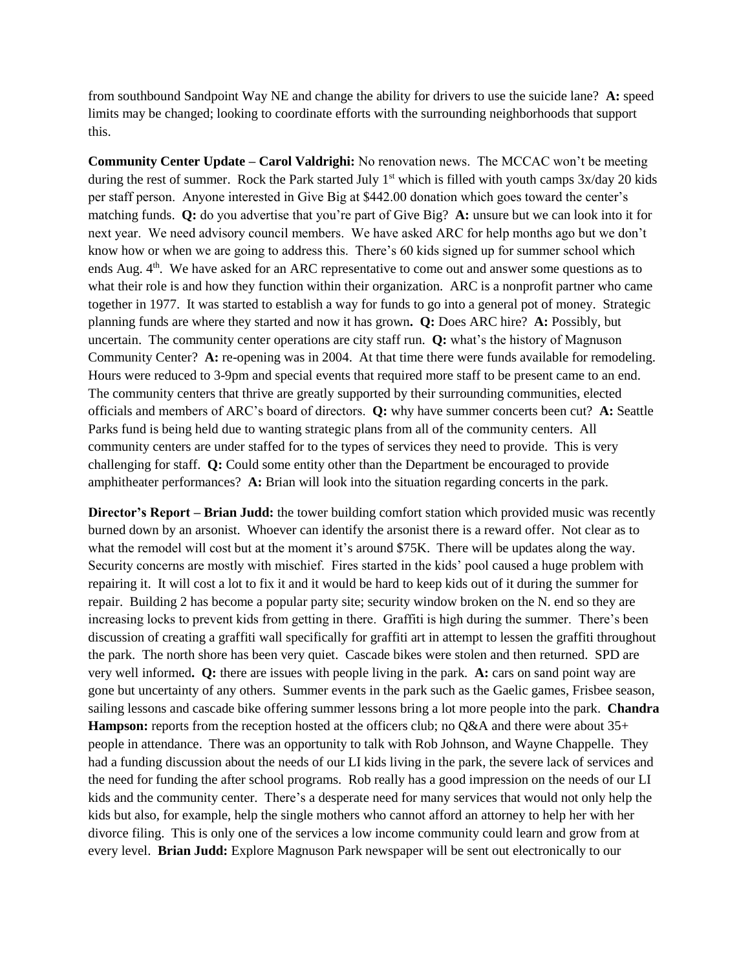from southbound Sandpoint Way NE and change the ability for drivers to use the suicide lane? **A:** speed limits may be changed; looking to coordinate efforts with the surrounding neighborhoods that support this.

**Community Center Update – Carol Valdrighi:** No renovation news. The MCCAC won't be meeting during the rest of summer. Rock the Park started July  $1<sup>st</sup>$  which is filled with youth camps  $3x/day$  20 kids per staff person. Anyone interested in Give Big at \$442.00 donation which goes toward the center's matching funds. **Q:** do you advertise that you're part of Give Big? **A:** unsure but we can look into it for next year. We need advisory council members. We have asked ARC for help months ago but we don't know how or when we are going to address this. There's 60 kids signed up for summer school which ends Aug. 4th. We have asked for an ARC representative to come out and answer some questions as to what their role is and how they function within their organization. ARC is a nonprofit partner who came together in 1977. It was started to establish a way for funds to go into a general pot of money. Strategic planning funds are where they started and now it has grown**. Q:** Does ARC hire? **A:** Possibly, but uncertain. The community center operations are city staff run. **Q:** what's the history of Magnuson Community Center? **A:** re-opening was in 2004. At that time there were funds available for remodeling. Hours were reduced to 3-9pm and special events that required more staff to be present came to an end. The community centers that thrive are greatly supported by their surrounding communities, elected officials and members of ARC's board of directors. **Q:** why have summer concerts been cut? **A:** Seattle Parks fund is being held due to wanting strategic plans from all of the community centers. All community centers are under staffed for to the types of services they need to provide. This is very challenging for staff. **Q:** Could some entity other than the Department be encouraged to provide amphitheater performances? **A:** Brian will look into the situation regarding concerts in the park.

**Director's Report – Brian Judd:** the tower building comfort station which provided music was recently burned down by an arsonist. Whoever can identify the arsonist there is a reward offer. Not clear as to what the remodel will cost but at the moment it's around \$75K. There will be updates along the way. Security concerns are mostly with mischief. Fires started in the kids' pool caused a huge problem with repairing it. It will cost a lot to fix it and it would be hard to keep kids out of it during the summer for repair. Building 2 has become a popular party site; security window broken on the N. end so they are increasing locks to prevent kids from getting in there. Graffiti is high during the summer. There's been discussion of creating a graffiti wall specifically for graffiti art in attempt to lessen the graffiti throughout the park. The north shore has been very quiet. Cascade bikes were stolen and then returned. SPD are very well informed**. Q:** there are issues with people living in the park. **A:** cars on sand point way are gone but uncertainty of any others. Summer events in the park such as the Gaelic games, Frisbee season, sailing lessons and cascade bike offering summer lessons bring a lot more people into the park. **Chandra Hampson:** reports from the reception hosted at the officers club; no Q&A and there were about 35+ people in attendance. There was an opportunity to talk with Rob Johnson, and Wayne Chappelle. They had a funding discussion about the needs of our LI kids living in the park, the severe lack of services and the need for funding the after school programs. Rob really has a good impression on the needs of our LI kids and the community center. There's a desperate need for many services that would not only help the kids but also, for example, help the single mothers who cannot afford an attorney to help her with her divorce filing. This is only one of the services a low income community could learn and grow from at every level. **Brian Judd:** Explore Magnuson Park newspaper will be sent out electronically to our